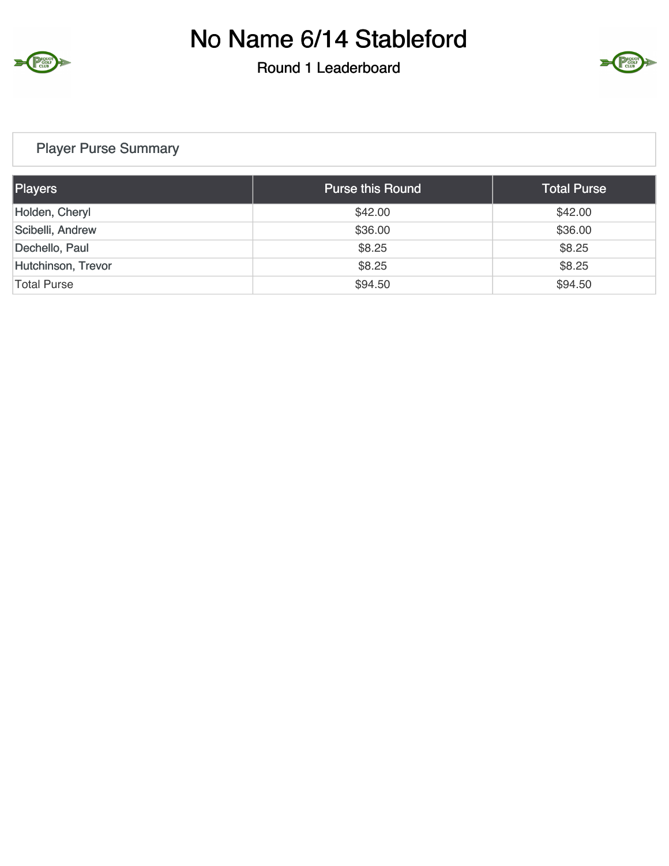

#### Round 1 Leaderboard



## Player Purse Summary

| Players            | <b>Purse this Round</b> | <b>Total Purse</b> |
|--------------------|-------------------------|--------------------|
| Holden, Cheryl     | \$42.00                 | \$42.00            |
| Scibelli, Andrew   | \$36.00                 | \$36.00            |
| Dechello, Paul     | \$8.25                  | \$8.25             |
| Hutchinson, Trevor | \$8.25                  | \$8.25             |
| <b>Total Purse</b> | \$94.50                 | \$94.50            |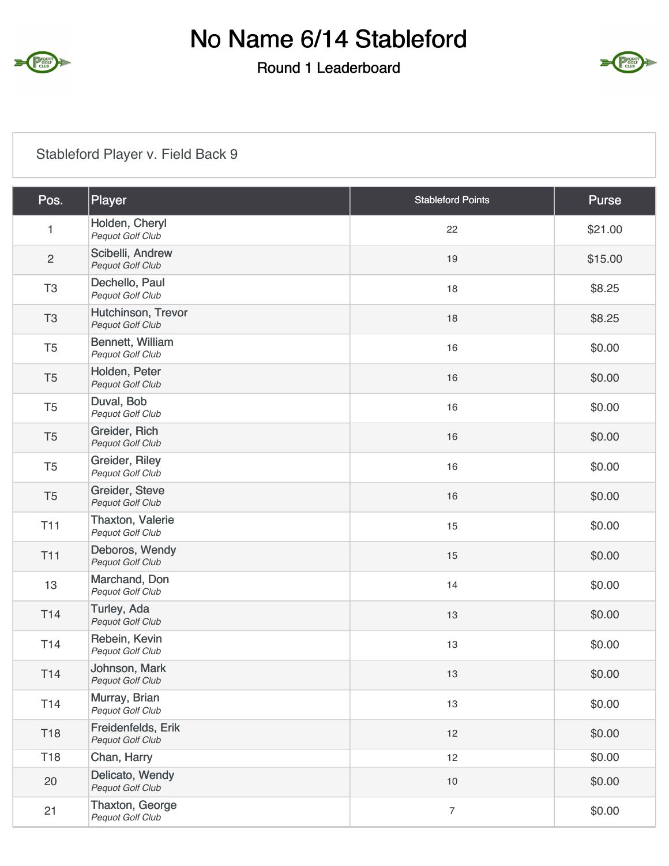

#### Round 1 Leaderboard



## Stableford Player v. Field Back 9

| Pos.            | Player                                 | <b>Stableford Points</b> | Purse   |
|-----------------|----------------------------------------|--------------------------|---------|
| 1               | Holden, Cheryl<br>Pequot Golf Club     | 22                       | \$21.00 |
| $\overline{c}$  | Scibelli, Andrew<br>Pequot Golf Club   | 19                       | \$15.00 |
| T <sub>3</sub>  | Dechello, Paul<br>Pequot Golf Club     | 18                       | \$8.25  |
| T <sub>3</sub>  | Hutchinson, Trevor<br>Pequot Golf Club | 18                       | \$8.25  |
| T <sub>5</sub>  | Bennett, William<br>Pequot Golf Club   | 16                       | \$0.00  |
| T <sub>5</sub>  | Holden, Peter<br>Pequot Golf Club      | 16                       | \$0.00  |
| T <sub>5</sub>  | Duval, Bob<br>Pequot Golf Club         | 16                       | \$0.00  |
| T <sub>5</sub>  | Greider, Rich<br>Pequot Golf Club      | 16                       | \$0.00  |
| T <sub>5</sub>  | Greider, Riley<br>Pequot Golf Club     | 16                       | \$0.00  |
| T <sub>5</sub>  | Greider, Steve<br>Pequot Golf Club     | 16                       | \$0.00  |
| <b>T11</b>      | Thaxton, Valerie<br>Pequot Golf Club   | 15                       | \$0.00  |
| <b>T11</b>      | Deboros, Wendy<br>Pequot Golf Club     | 15                       | \$0.00  |
| 13              | Marchand, Don<br>Pequot Golf Club      | 14                       | \$0.00  |
| T14             | Turley, Ada<br>Pequot Golf Club        | 13                       | \$0.00  |
| T <sub>14</sub> | Rebein, Kevin<br>Pequot Golf Club      | 13                       | \$0.00  |
| T14             | Johnson, Mark<br>Pequot Golf Club      | 13                       | \$0.00  |
| T14             | Murray, Brian<br>Pequot Golf Club      | 13                       | \$0.00  |
| <b>T18</b>      | Freidenfelds, Erik<br>Pequot Golf Club | 12                       | \$0.00  |
| T18             | Chan, Harry                            | 12                       | \$0.00  |
| 20              | Delicato, Wendy<br>Pequot Golf Club    | 10                       | \$0.00  |
| 21              | Thaxton, George<br>Pequot Golf Club    | $\overline{7}$           | \$0.00  |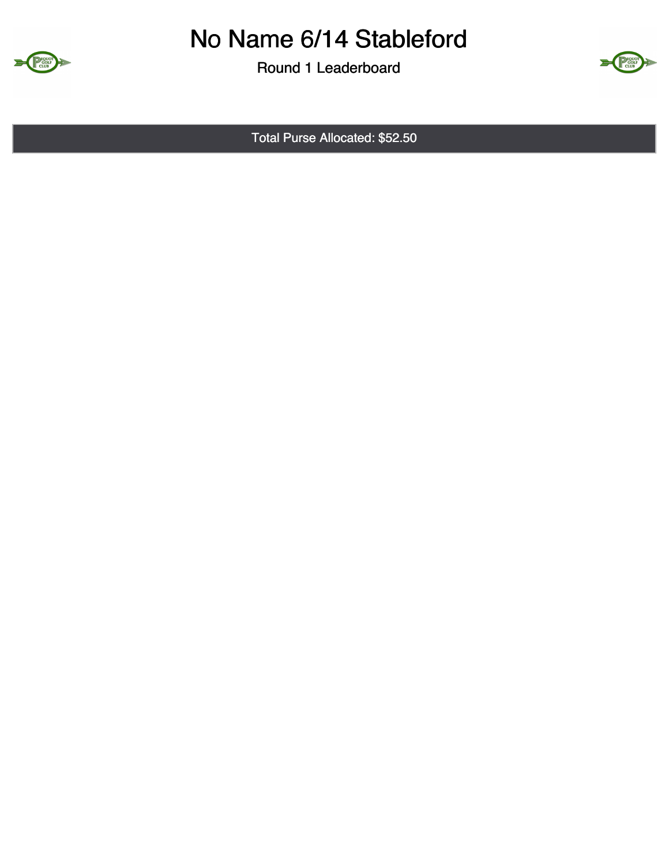

Round 1 Leaderboard



Total Purse Allocated: \$52.50